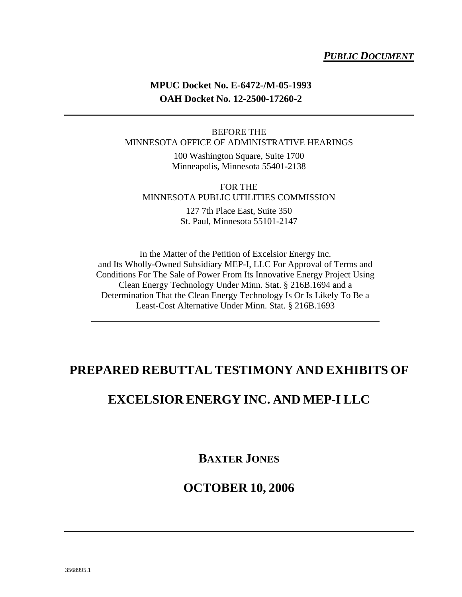#### *PUBLIC DOCUMENT*

### **MPUC Docket No. E-6472-/M-05-1993 OAH Docket No. 12-2500-17260-2**

## BEFORE THE MINNESOTA OFFICE OF ADMINISTRATIVE HEARINGS

100 Washington Square, Suite 1700 Minneapolis, Minnesota 55401-2138

FOR THE MINNESOTA PUBLIC UTILITIES COMMISSION

> 127 7th Place East, Suite 350 St. Paul, Minnesota 55101-2147

In the Matter of the Petition of Excelsior Energy Inc. and Its Wholly-Owned Subsidiary MEP-I, LLC For Approval of Terms and Conditions For The Sale of Power From Its Innovative Energy Project Using Clean Energy Technology Under Minn. Stat. § 216B.1694 and a Determination That the Clean Energy Technology Is Or Is Likely To Be a Least-Cost Alternative Under Minn. Stat. § 216B.1693

# **PREPARED REBUTTAL TESTIMONY AND EXHIBITS OF**

## **EXCELSIOR ENERGY INC. AND MEP-I LLC**

**BAXTER JONES**

## **OCTOBER 10, 2006**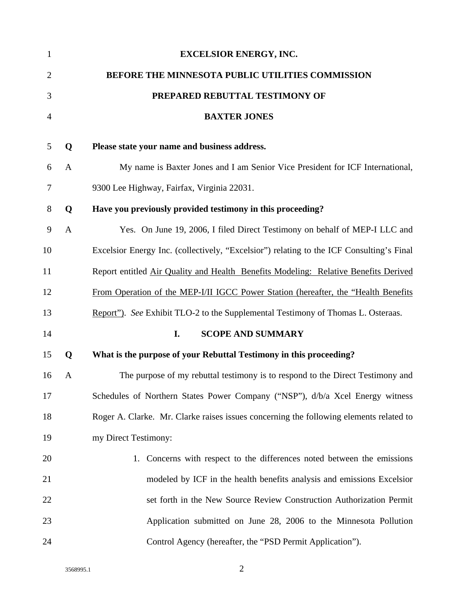| $\mathbf{1}$   |              | <b>EXCELSIOR ENERGY, INC.</b>                                                            |
|----------------|--------------|------------------------------------------------------------------------------------------|
| $\overline{2}$ |              | BEFORE THE MINNESOTA PUBLIC UTILITIES COMMISSION                                         |
| 3              |              | PREPARED REBUTTAL TESTIMONY OF                                                           |
| $\overline{4}$ |              | <b>BAXTER JONES</b>                                                                      |
| 5              | Q            | Please state your name and business address.                                             |
| 6              | $\mathbf{A}$ | My name is Baxter Jones and I am Senior Vice President for ICF International,            |
| 7              |              | 9300 Lee Highway, Fairfax, Virginia 22031.                                               |
| 8              | Q            | Have you previously provided testimony in this proceeding?                               |
| 9              | $\mathbf{A}$ | Yes. On June 19, 2006, I filed Direct Testimony on behalf of MEP-I LLC and               |
| 10             |              | Excelsior Energy Inc. (collectively, "Excelsior") relating to the ICF Consulting's Final |
| 11             |              | Report entitled Air Quality and Health Benefits Modeling: Relative Benefits Derived      |
| 12             |              | From Operation of the MEP-I/II IGCC Power Station (hereafter, the "Health Benefits       |
| 13             |              | Report"). See Exhibit TLO-2 to the Supplemental Testimony of Thomas L. Osteraas.         |
| 14             |              | I.<br><b>SCOPE AND SUMMARY</b>                                                           |
| 15             | Q            | What is the purpose of your Rebuttal Testimony in this proceeding?                       |
| 16             | $\mathbf{A}$ | The purpose of my rebuttal testimony is to respond to the Direct Testimony and           |
| 17             |              | Schedules of Northern States Power Company ("NSP"), d/b/a Xcel Energy witness            |
| 18             |              | Roger A. Clarke. Mr. Clarke raises issues concerning the following elements related to   |
| 19             |              | my Direct Testimony:                                                                     |
| 20             |              | 1. Concerns with respect to the differences noted between the emissions                  |
| 21             |              | modeled by ICF in the health benefits analysis and emissions Excelsior                   |
| 22             |              | set forth in the New Source Review Construction Authorization Permit                     |
| 23             |              | Application submitted on June 28, 2006 to the Minnesota Pollution                        |
| 24             |              | Control Agency (hereafter, the "PSD Permit Application").                                |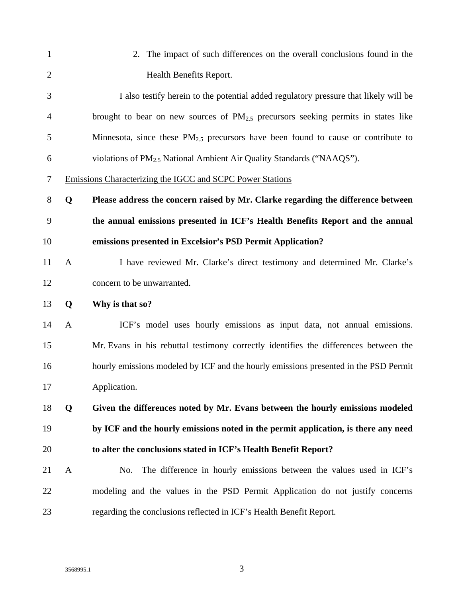| $\mathbf{1}$   |              | 2. The impact of such differences on the overall conclusions found in the              |
|----------------|--------------|----------------------------------------------------------------------------------------|
| $\overline{2}$ |              | Health Benefits Report.                                                                |
| 3              |              | I also testify herein to the potential added regulatory pressure that likely will be   |
| 4              |              | brought to bear on new sources of $PM_{2,5}$ precursors seeking permits in states like |
| 5              |              | Minnesota, since these $PM_{2.5}$ precursors have been found to cause or contribute to |
| 6              |              | violations of PM <sub>2.5</sub> National Ambient Air Quality Standards ("NAAQS").      |
| 7              |              | <u>Emissions Characterizing the IGCC and SCPC Power Stations</u>                       |
| $8\,$          | Q            | Please address the concern raised by Mr. Clarke regarding the difference between       |
| 9              |              | the annual emissions presented in ICF's Health Benefits Report and the annual          |
| 10             |              | emissions presented in Excelsior's PSD Permit Application?                             |
| 11             | $\mathbf{A}$ | I have reviewed Mr. Clarke's direct testimony and determined Mr. Clarke's              |
| 12             |              | concern to be unwarranted.                                                             |
| 13             | Q            | Why is that so?                                                                        |
| 14             | $\mathbf{A}$ | ICF's model uses hourly emissions as input data, not annual emissions.                 |
| 15             |              | Mr. Evans in his rebuttal testimony correctly identifies the differences between the   |
| 16             |              | hourly emissions modeled by ICF and the hourly emissions presented in the PSD Permit   |
| 17             |              | Application.                                                                           |
| 18             | Q            | Given the differences noted by Mr. Evans between the hourly emissions modeled          |
| 19             |              | by ICF and the hourly emissions noted in the permit application, is there any need     |
| 20             |              | to alter the conclusions stated in ICF's Health Benefit Report?                        |
| 21             | $\mathbf{A}$ | The difference in hourly emissions between the values used in ICF's<br>No.             |
| 22             |              | modeling and the values in the PSD Permit Application do not justify concerns          |
| 23             |              | regarding the conclusions reflected in ICF's Health Benefit Report.                    |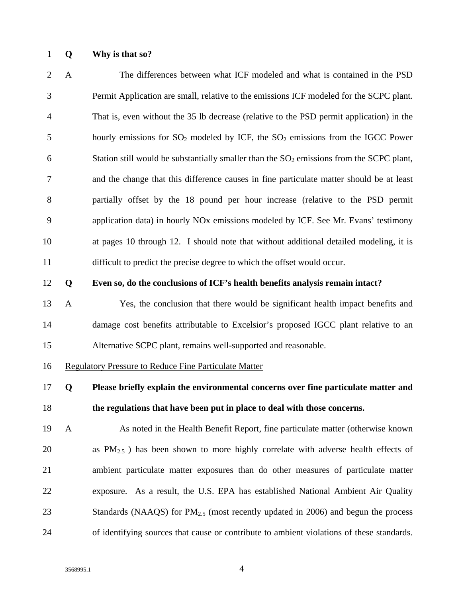1 **Q Why is that so?** 

| $\overline{2}$ | $\mathbf{A}$ | The differences between what ICF modeled and what is contained in the PSD                      |
|----------------|--------------|------------------------------------------------------------------------------------------------|
| 3              |              | Permit Application are small, relative to the emissions ICF modeled for the SCPC plant.        |
| $\overline{4}$ |              | That is, even without the 35 lb decrease (relative to the PSD permit application) in the       |
| 5              |              | hourly emissions for $SO_2$ modeled by ICF, the $SO_2$ emissions from the IGCC Power           |
| 6              |              | Station still would be substantially smaller than the $SO_2$ emissions from the SCPC plant,    |
| 7              |              | and the change that this difference causes in fine particulate matter should be at least       |
| $8\,$          |              | partially offset by the 18 pound per hour increase (relative to the PSD permit                 |
| 9              |              | application data) in hourly NO <sub>x</sub> emissions modeled by ICF. See Mr. Evans' testimony |
| 10             |              | at pages 10 through 12. I should note that without additional detailed modeling, it is         |
| 11             |              | difficult to predict the precise degree to which the offset would occur.                       |
| 12             | Q            | Even so, do the conclusions of ICF's health benefits analysis remain intact?                   |
| 13             | $\mathbf{A}$ | Yes, the conclusion that there would be significant health impact benefits and                 |
| 14             |              | damage cost benefits attributable to Excelsior's proposed IGCC plant relative to an            |
| 15             |              | Alternative SCPC plant, remains well-supported and reasonable.                                 |
| 16             |              | <b>Regulatory Pressure to Reduce Fine Particulate Matter</b>                                   |
| 17             | Q            | Please briefly explain the environmental concerns over fine particulate matter and             |
| 18             |              | the regulations that have been put in place to deal with those concerns.                       |

19 A As noted in the Health Benefit Report, fine particulate matter (otherwise known 20 as PM2.5 ) has been shown to more highly correlate with adverse health effects of 21 ambient particulate matter exposures than do other measures of particulate matter 22 exposure. As a result, the U.S. EPA has established National Ambient Air Quality 23 Standards (NAAQS) for PM<sub>2.5</sub> (most recently updated in 2006) and begun the process 24 of identifying sources that cause or contribute to ambient violations of these standards.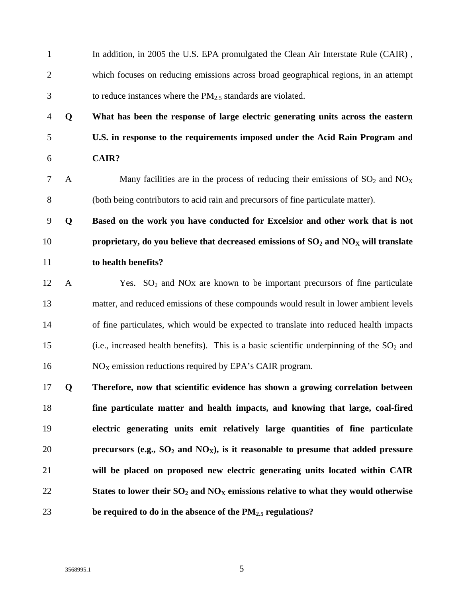| $\mathbf{1}$   |              | In addition, in 2005 the U.S. EPA promulgated the Clean Air Interstate Rule (CAIR),          |
|----------------|--------------|----------------------------------------------------------------------------------------------|
| $\overline{c}$ |              | which focuses on reducing emissions across broad geographical regions, in an attempt         |
| 3              |              | to reduce instances where the $PM_{2.5}$ standards are violated.                             |
| 4              | Q            | What has been the response of large electric generating units across the eastern             |
| 5              |              | U.S. in response to the requirements imposed under the Acid Rain Program and                 |
| 6              |              | <b>CAIR?</b>                                                                                 |
| 7              | $\mathbf{A}$ | Many facilities are in the process of reducing their emissions of $SO_2$ and $NO_X$          |
| $8\,$          |              | (both being contributors to acid rain and precursors of fine particulate matter).            |
| 9              | Q            | Based on the work you have conducted for Excelsior and other work that is not                |
| 10             |              | proprietary, do you believe that decreased emissions of $SO2$ and $NOX$ will translate       |
| 11             |              | to health benefits?                                                                          |
| 12             | $\mathbf{A}$ | Yes. $SO_2$ and NO <sub>x</sub> are known to be important precursors of fine particulate     |
| 13             |              | matter, and reduced emissions of these compounds would result in lower ambient levels        |
| 14             |              | of fine particulates, which would be expected to translate into reduced health impacts       |
| 15             |              | (i.e., increased health benefits). This is a basic scientific underpinning of the $SO_2$ and |
| 16             |              | $NOX$ emission reductions required by EPA's CAIR program.                                    |
| 17             | Q            | Therefore, now that scientific evidence has shown a growing correlation between              |
| 18             |              | fine particulate matter and health impacts, and knowing that large, coal-fired               |
| 19             |              | electric generating units emit relatively large quantities of fine particulate               |
| 20             |              | precursors (e.g., $SO_2$ and $NOX$ ), is it reasonable to presume that added pressure        |
| 21             |              | will be placed on proposed new electric generating units located within CAIR                 |
| 22             |              | States to lower their $SO_2$ and $NOX$ emissions relative to what they would otherwise       |
| 23             |              | be required to do in the absence of the $PM_{2.5}$ regulations?                              |